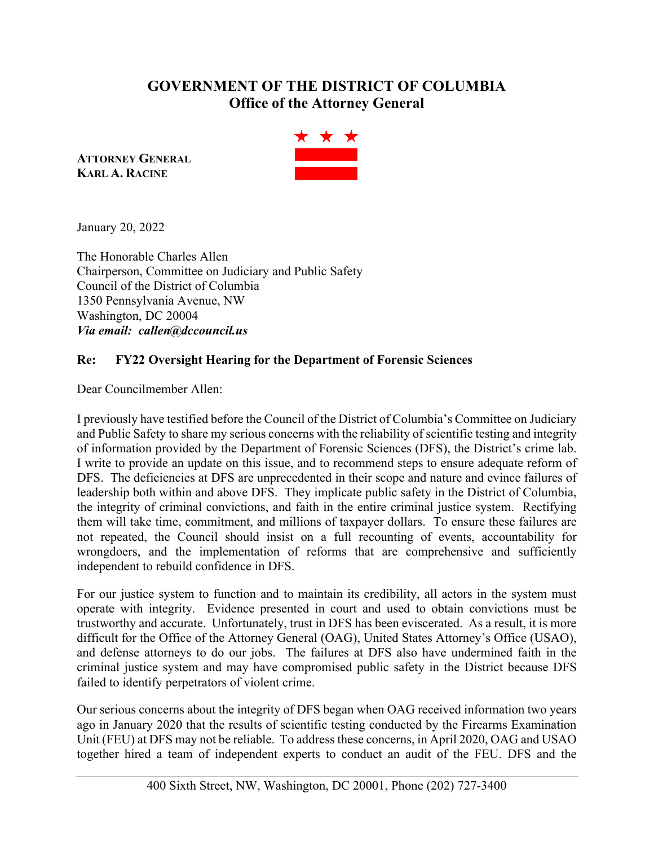## **GOVERNMENT OF THE DISTRICT OF COLUMBIA Office of the Attorney General**

**ATTORNEY GENERAL KARL A. RACINE**



January 20, 2022

The Honorable Charles Allen Chairperson, Committee on Judiciary and Public Safety Council of the District of Columbia 1350 Pennsylvania Avenue, NW Washington, DC 20004 *Via email: callen@dccouncil.us* 

## **Re: FY22 Oversight Hearing for the Department of Forensic Sciences**

Dear Councilmember Allen:

I previously have testified before the Council of the District of Columbia's Committee on Judiciary and Public Safety to share my serious concerns with the reliability of scientific testing and integrity of information provided by the Department of Forensic Sciences (DFS), the District's crime lab. I write to provide an update on this issue, and to recommend steps to ensure adequate reform of DFS. The deficiencies at DFS are unprecedented in their scope and nature and evince failures of leadership both within and above DFS. They implicate public safety in the District of Columbia, the integrity of criminal convictions, and faith in the entire criminal justice system. Rectifying them will take time, commitment, and millions of taxpayer dollars. To ensure these failures are not repeated, the Council should insist on a full recounting of events, accountability for wrongdoers, and the implementation of reforms that are comprehensive and sufficiently independent to rebuild confidence in DFS.

For our justice system to function and to maintain its credibility, all actors in the system must operate with integrity. Evidence presented in court and used to obtain convictions must be trustworthy and accurate. Unfortunately, trust in DFS has been eviscerated. As a result, it is more difficult for the Office of the Attorney General (OAG), United States Attorney's Office (USAO), and defense attorneys to do our jobs. The failures at DFS also have undermined faith in the criminal justice system and may have compromised public safety in the District because DFS failed to identify perpetrators of violent crime.

Our serious concerns about the integrity of DFS began when OAG received information two years ago in January 2020 that the results of scientific testing conducted by the Firearms Examination Unit (FEU) at DFS may not be reliable. To address these concerns, in April 2020, OAG and USAO together hired a team of independent experts to conduct an audit of the FEU. DFS and the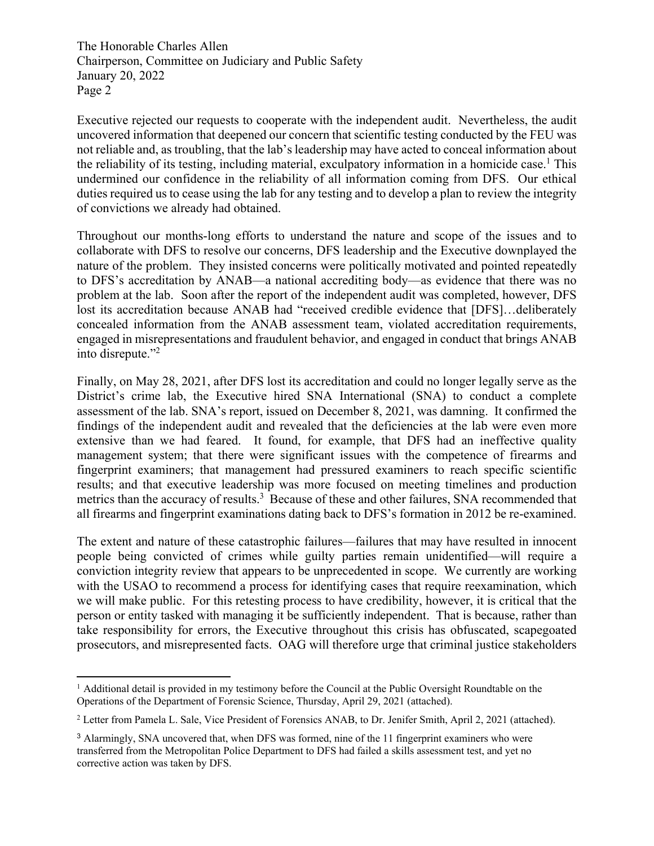The Honorable Charles Allen Chairperson, Committee on Judiciary and Public Safety January 20, 2022 Page 2

Executive rejected our requests to cooperate with the independent audit. Nevertheless, the audit uncovered information that deepened our concern that scientific testing conducted by the FEU was not reliable and, as troubling, that the lab's leadership may have acted to conceal information about the reliability of its testing, including material, exculpatory information in a homicide case.<sup>1</sup> This undermined our confidence in the reliability of all information coming from DFS. Our ethical duties required us to cease using the lab for any testing and to develop a plan to review the integrity of convictions we already had obtained.

Throughout our months-long efforts to understand the nature and scope of the issues and to collaborate with DFS to resolve our concerns, DFS leadership and the Executive downplayed the nature of the problem. They insisted concerns were politically motivated and pointed repeatedly to DFS's accreditation by ANAB—a national accrediting body—as evidence that there was no problem at the lab. Soon after the report of the independent audit was completed, however, DFS lost its accreditation because ANAB had "received credible evidence that [DFS]…deliberately concealed information from the ANAB assessment team, violated accreditation requirements, engaged in misrepresentations and fraudulent behavior, and engaged in conduct that brings ANAB into disrepute."<sup>2</sup>

Finally, on May 28, 2021, after DFS lost its accreditation and could no longer legally serve as the District's crime lab, the Executive hired SNA International (SNA) to conduct a complete assessment of the lab. SNA's report, issued on December 8, 2021, was damning. It confirmed the findings of the independent audit and revealed that the deficiencies at the lab were even more extensive than we had feared. It found, for example, that DFS had an ineffective quality management system; that there were significant issues with the competence of firearms and fingerprint examiners; that management had pressured examiners to reach specific scientific results; and that executive leadership was more focused on meeting timelines and production metrics than the accuracy of results.<sup>3</sup> Because of these and other failures, SNA recommended that all firearms and fingerprint examinations dating back to DFS's formation in 2012 be re-examined.

The extent and nature of these catastrophic failures—failures that may have resulted in innocent people being convicted of crimes while guilty parties remain unidentified—will require a conviction integrity review that appears to be unprecedented in scope. We currently are working with the USAO to recommend a process for identifying cases that require reexamination, which we will make public. For this retesting process to have credibility, however, it is critical that the person or entity tasked with managing it be sufficiently independent. That is because, rather than take responsibility for errors, the Executive throughout this crisis has obfuscated, scapegoated prosecutors, and misrepresented facts. OAG will therefore urge that criminal justice stakeholders

 $<sup>1</sup>$  Additional detail is provided in my testimony before the Council at the Public Oversight Roundtable on the</sup> Operations of the Department of Forensic Science, Thursday, April 29, 2021 (attached).

<sup>&</sup>lt;sup>2</sup> Letter from Pamela L. Sale, Vice President of Forensics ANAB, to Dr. Jenifer Smith, April 2, 2021 (attached).

<sup>3</sup> Alarmingly, SNA uncovered that, when DFS was formed, nine of the 11 fingerprint examiners who were transferred from the Metropolitan Police Department to DFS had failed a skills assessment test, and yet no corrective action was taken by DFS.